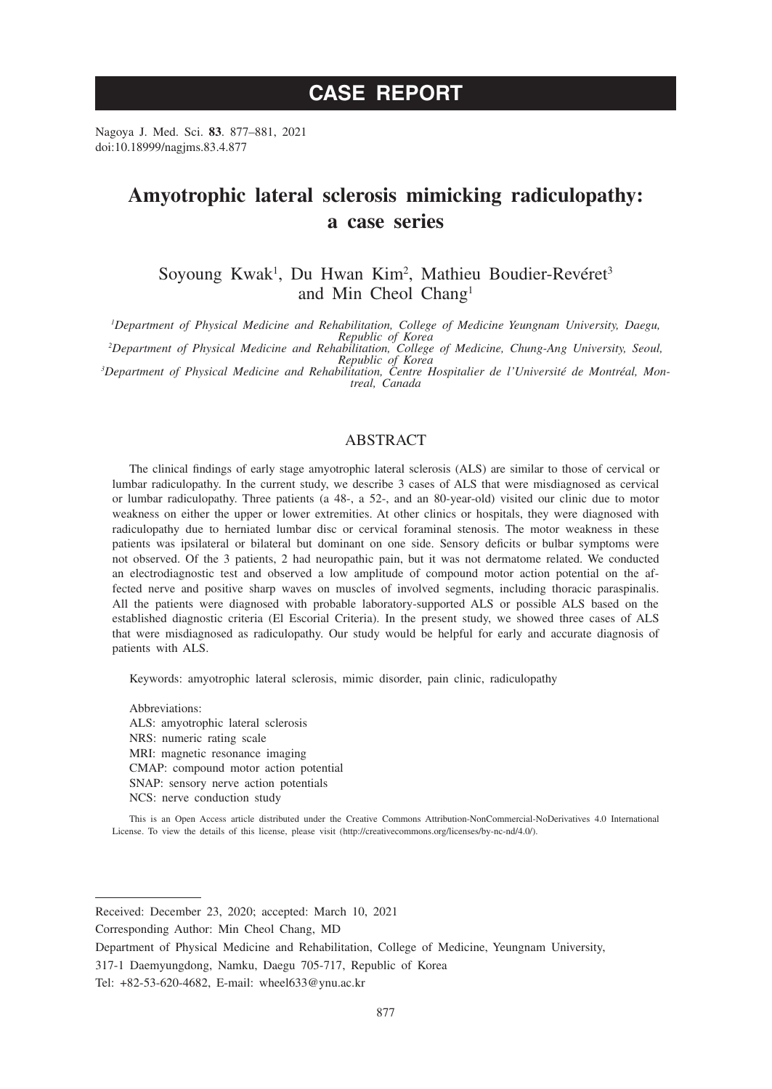# **CASE REPORT**

Nagoya J. Med. Sci. **83**. 877–881, 2021 doi:10.18999/nagjms.83.4.877

# **Amyotrophic lateral sclerosis mimicking radiculopathy: a case series**

Soyoung Kwak<sup>1</sup>, Du Hwan Kim<sup>2</sup>, Mathieu Boudier-Revéret<sup>3</sup> and Min Cheol Chang1

*1 Department of Physical Medicine and Rehabilitation, College of Medicine Yeungnam University, Daegu,* 

*Republic of Korea <sup>2</sup> Department of Physical Medicine and Rehabilitation, College of Medicine, Chung-Ang University, Seoul,* 

*Republic of Korea <sup>3</sup> Department of Physical Medicine and Rehabilitation, Centre Hospitalier de l'Université de Montréal, Mon- treal, Canada*

# ABSTRACT

The clinical findings of early stage amyotrophic lateral sclerosis (ALS) are similar to those of cervical or lumbar radiculopathy. In the current study, we describe 3 cases of ALS that were misdiagnosed as cervical or lumbar radiculopathy. Three patients (a 48-, a 52-, and an 80-year-old) visited our clinic due to motor weakness on either the upper or lower extremities. At other clinics or hospitals, they were diagnosed with radiculopathy due to herniated lumbar disc or cervical foraminal stenosis. The motor weakness in these patients was ipsilateral or bilateral but dominant on one side. Sensory deficits or bulbar symptoms were not observed. Of the 3 patients, 2 had neuropathic pain, but it was not dermatome related. We conducted an electrodiagnostic test and observed a low amplitude of compound motor action potential on the affected nerve and positive sharp waves on muscles of involved segments, including thoracic paraspinalis. All the patients were diagnosed with probable laboratory-supported ALS or possible ALS based on the established diagnostic criteria (El Escorial Criteria). In the present study, we showed three cases of ALS that were misdiagnosed as radiculopathy. Our study would be helpful for early and accurate diagnosis of patients with ALS.

Keywords: amyotrophic lateral sclerosis, mimic disorder, pain clinic, radiculopathy

Abbreviations: ALS: amyotrophic lateral sclerosis NRS: numeric rating scale MRI: magnetic resonance imaging CMAP: compound motor action potential SNAP: sensory nerve action potentials NCS: nerve conduction study

This is an Open Access article distributed under the Creative Commons Attribution-NonCommercial-NoDerivatives 4.0 International License. To view the details of this license, please visit (http://creativecommons.org/licenses/by-nc-nd/4.0/).

Corresponding Author: Min Cheol Chang, MD

Received: December 23, 2020; accepted: March 10, 2021

Department of Physical Medicine and Rehabilitation, College of Medicine, Yeungnam University,

<sup>317-1</sup> Daemyungdong, Namku, Daegu 705-717, Republic of Korea

Tel: +82-53-620-4682, E-mail: wheel633@ynu.ac.kr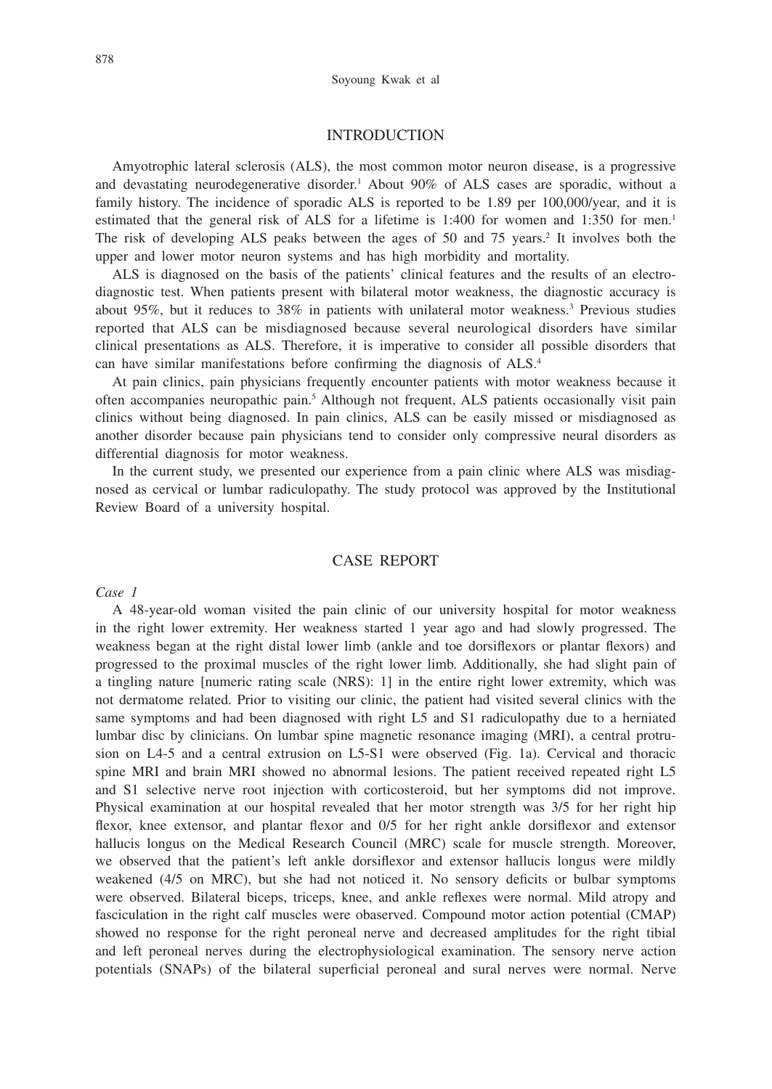## **INTRODUCTION**

Amyotrophic lateral sclerosis (ALS), the most common motor neuron disease, is a progressive and devastating neurodegenerative disorder.<sup>1</sup> About 90% of ALS cases are sporadic, without a family history. The incidence of sporadic ALS is reported to be 1.89 per 100,000/year, and it is estimated that the general risk of ALS for a lifetime is  $1:400$  for women and  $1:350$  for men.<sup>1</sup> The risk of developing ALS peaks between the ages of 50 and 75 years.<sup>2</sup> It involves both the upper and lower motor neuron systems and has high morbidity and mortality.

ALS is diagnosed on the basis of the patients' clinical features and the results of an electrodiagnostic test. When patients present with bilateral motor weakness, the diagnostic accuracy is about 95%, but it reduces to 38% in patients with unilateral motor weakness.3 Previous studies reported that ALS can be misdiagnosed because several neurological disorders have similar clinical presentations as ALS. Therefore, it is imperative to consider all possible disorders that can have similar manifestations before confirming the diagnosis of ALS.4

At pain clinics, pain physicians frequently encounter patients with motor weakness because it often accompanies neuropathic pain.<sup>5</sup> Although not frequent, ALS patients occasionally visit pain clinics without being diagnosed. In pain clinics, ALS can be easily missed or misdiagnosed as another disorder because pain physicians tend to consider only compressive neural disorders as differential diagnosis for motor weakness.

In the current study, we presented our experience from a pain clinic where ALS was misdiagnosed as cervical or lumbar radiculopathy. The study protocol was approved by the Institutional Review Board of a university hospital.

# CASE REPORT

#### *Case 1*

A 48-year-old woman visited the pain clinic of our university hospital for motor weakness in the right lower extremity. Her weakness started 1 year ago and had slowly progressed. The weakness began at the right distal lower limb (ankle and toe dorsiflexors or plantar flexors) and progressed to the proximal muscles of the right lower limb. Additionally, she had slight pain of a tingling nature [numeric rating scale (NRS): 1] in the entire right lower extremity, which was not dermatome related. Prior to visiting our clinic, the patient had visited several clinics with the same symptoms and had been diagnosed with right L5 and S1 radiculopathy due to a herniated lumbar disc by clinicians. On lumbar spine magnetic resonance imaging (MRI), a central protrusion on L4-5 and a central extrusion on L5-S1 were observed (Fig. 1a). Cervical and thoracic spine MRI and brain MRI showed no abnormal lesions. The patient received repeated right L5 and S1 selective nerve root injection with corticosteroid, but her symptoms did not improve. Physical examination at our hospital revealed that her motor strength was 3/5 for her right hip flexor, knee extensor, and plantar flexor and 0/5 for her right ankle dorsiflexor and extensor hallucis longus on the Medical Research Council (MRC) scale for muscle strength. Moreover, we observed that the patient's left ankle dorsiflexor and extensor hallucis longus were mildly weakened (4/5 on MRC), but she had not noticed it. No sensory deficits or bulbar symptoms were observed. Bilateral biceps, triceps, knee, and ankle reflexes were normal. Mild atropy and fasciculation in the right calf muscles were obaserved. Compound motor action potential (CMAP) showed no response for the right peroneal nerve and decreased amplitudes for the right tibial and left peroneal nerves during the electrophysiological examination. The sensory nerve action potentials (SNAPs) of the bilateral superficial peroneal and sural nerves were normal. Nerve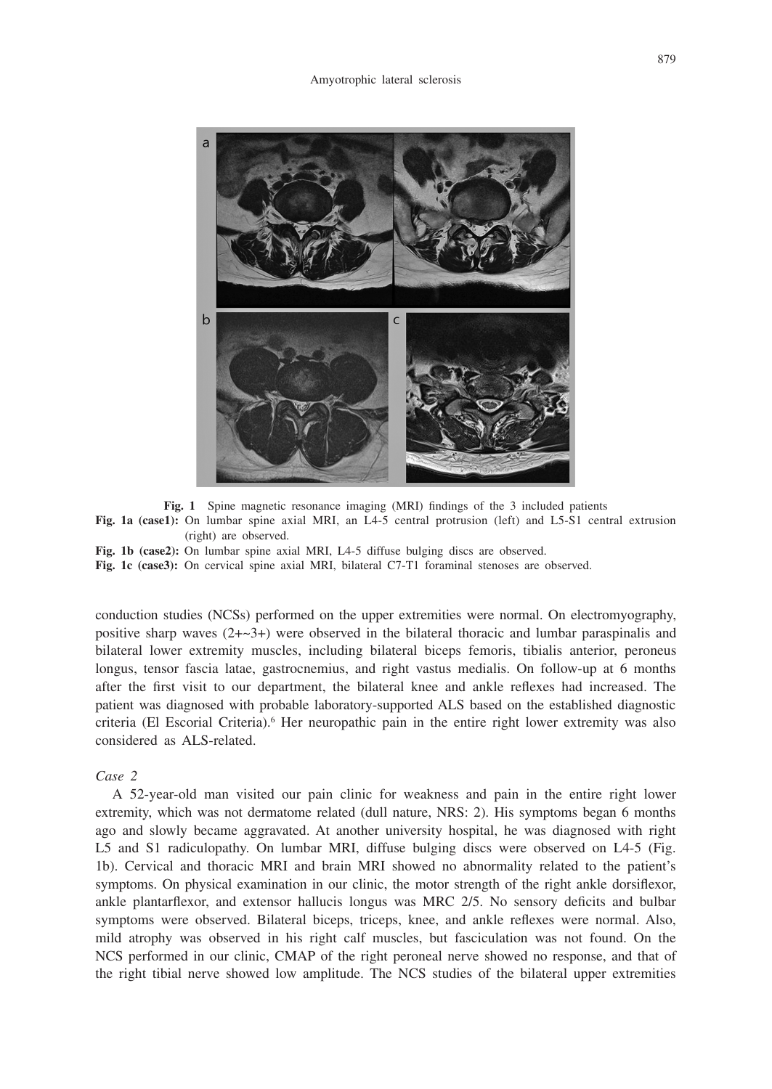

**Fig. 1** Spine magnetic resonance imaging (MRI) findings of the 3 included patients **Fig. 1a (case1):** On lumbar spine axial MRI, an L4-5 central protrusion (left) and L5-S1 central extrusion (right) are observed.

**Fig. 1b (case2):** On lumbar spine axial MRI, L4-5 diffuse bulging discs are observed.

**Fig. 1c (case3):** On cervical spine axial MRI, bilateral C7-T1 foraminal stenoses are observed.

conduction studies (NCSs) performed on the upper extremities were normal. On electromyography, positive sharp waves  $(2+\sim3+)$  were observed in the bilateral thoracic and lumbar paraspinalis and bilateral lower extremity muscles, including bilateral biceps femoris, tibialis anterior, peroneus longus, tensor fascia latae, gastrocnemius, and right vastus medialis. On follow-up at 6 months after the first visit to our department, the bilateral knee and ankle reflexes had increased. The patient was diagnosed with probable laboratory-supported ALS based on the established diagnostic criteria (El Escorial Criteria).<sup>6</sup> Her neuropathic pain in the entire right lower extremity was also considered as ALS-related.

## *Case 2*

A 52-year-old man visited our pain clinic for weakness and pain in the entire right lower extremity, which was not dermatome related (dull nature, NRS: 2). His symptoms began 6 months ago and slowly became aggravated. At another university hospital, he was diagnosed with right L5 and S1 radiculopathy. On lumbar MRI, diffuse bulging discs were observed on L4-5 (Fig. 1b). Cervical and thoracic MRI and brain MRI showed no abnormality related to the patient's symptoms. On physical examination in our clinic, the motor strength of the right ankle dorsiflexor, ankle plantarflexor, and extensor hallucis longus was MRC 2/5. No sensory deficits and bulbar symptoms were observed. Bilateral biceps, triceps, knee, and ankle reflexes were normal. Also, mild atrophy was observed in his right calf muscles, but fasciculation was not found. On the NCS performed in our clinic, CMAP of the right peroneal nerve showed no response, and that of the right tibial nerve showed low amplitude. The NCS studies of the bilateral upper extremities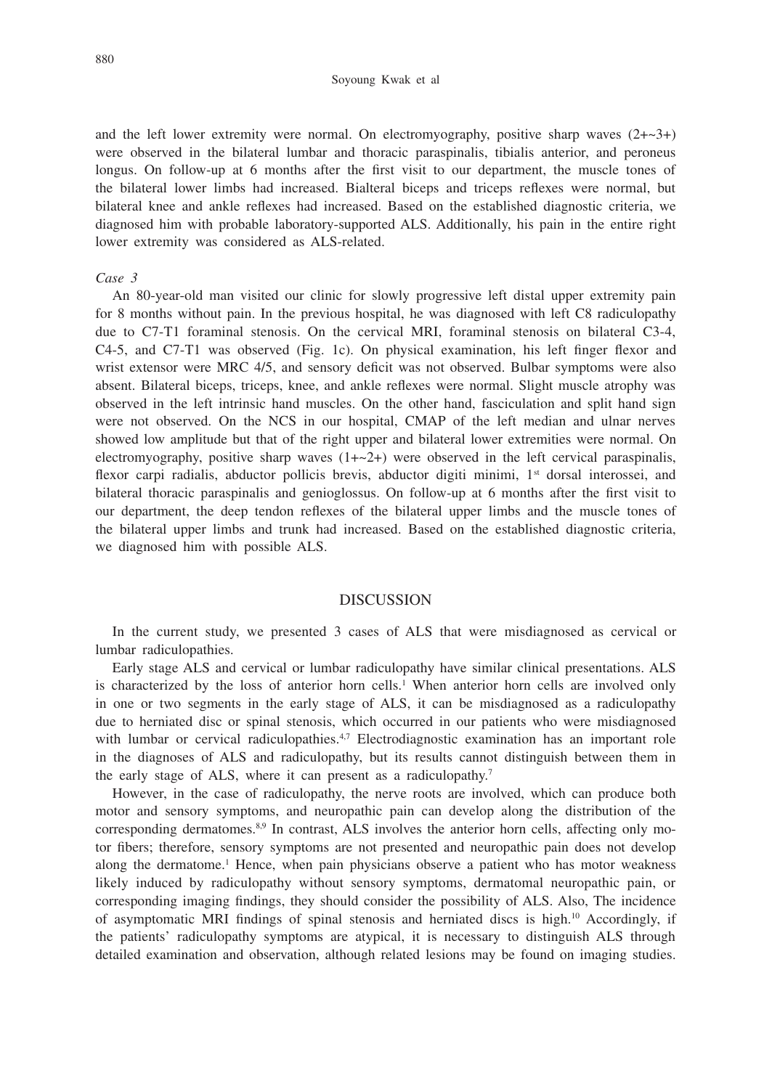#### Soyoung Kwak et al

and the left lower extremity were normal. On electromyography, positive sharp waves  $(2+\sim3+)$ were observed in the bilateral lumbar and thoracic paraspinalis, tibialis anterior, and peroneus longus. On follow-up at 6 months after the first visit to our department, the muscle tones of the bilateral lower limbs had increased. Bialteral biceps and triceps reflexes were normal, but bilateral knee and ankle reflexes had increased. Based on the established diagnostic criteria, we diagnosed him with probable laboratory-supported ALS. Additionally, his pain in the entire right lower extremity was considered as ALS-related.

### *Case 3*

An 80-year-old man visited our clinic for slowly progressive left distal upper extremity pain for 8 months without pain. In the previous hospital, he was diagnosed with left C8 radiculopathy due to C7-T1 foraminal stenosis. On the cervical MRI, foraminal stenosis on bilateral C3-4, C4-5, and C7-T1 was observed (Fig. 1c). On physical examination, his left finger flexor and wrist extensor were MRC 4/5, and sensory deficit was not observed. Bulbar symptoms were also absent. Bilateral biceps, triceps, knee, and ankle reflexes were normal. Slight muscle atrophy was observed in the left intrinsic hand muscles. On the other hand, fasciculation and split hand sign were not observed. On the NCS in our hospital, CMAP of the left median and ulnar nerves showed low amplitude but that of the right upper and bilateral lower extremities were normal. On electromyography, positive sharp waves  $(1+-2+)$  were observed in the left cervical paraspinalis, flexor carpi radialis, abductor pollicis brevis, abductor digiti minimi, 1<sup>st</sup> dorsal interossei, and bilateral thoracic paraspinalis and genioglossus. On follow-up at 6 months after the first visit to our department, the deep tendon reflexes of the bilateral upper limbs and the muscle tones of the bilateral upper limbs and trunk had increased. Based on the established diagnostic criteria, we diagnosed him with possible ALS.

## **DISCUSSION**

In the current study, we presented 3 cases of ALS that were misdiagnosed as cervical or lumbar radiculopathies.

Early stage ALS and cervical or lumbar radiculopathy have similar clinical presentations. ALS is characterized by the loss of anterior horn cells.<sup>1</sup> When anterior horn cells are involved only in one or two segments in the early stage of ALS, it can be misdiagnosed as a radiculopathy due to herniated disc or spinal stenosis, which occurred in our patients who were misdiagnosed with lumbar or cervical radiculopathies. $47$  Electrodiagnostic examination has an important role in the diagnoses of ALS and radiculopathy, but its results cannot distinguish between them in the early stage of ALS, where it can present as a radiculopathy.<sup>7</sup>

However, in the case of radiculopathy, the nerve roots are involved, which can produce both motor and sensory symptoms, and neuropathic pain can develop along the distribution of the corresponding dermatomes. $8.9$  In contrast, ALS involves the anterior horn cells, affecting only motor fibers; therefore, sensory symptoms are not presented and neuropathic pain does not develop along the dermatome.<sup>1</sup> Hence, when pain physicians observe a patient who has motor weakness likely induced by radiculopathy without sensory symptoms, dermatomal neuropathic pain, or corresponding imaging findings, they should consider the possibility of ALS. Also, The incidence of asymptomatic MRI findings of spinal stenosis and herniated discs is high.10 Accordingly, if the patients' radiculopathy symptoms are atypical, it is necessary to distinguish ALS through detailed examination and observation, although related lesions may be found on imaging studies.